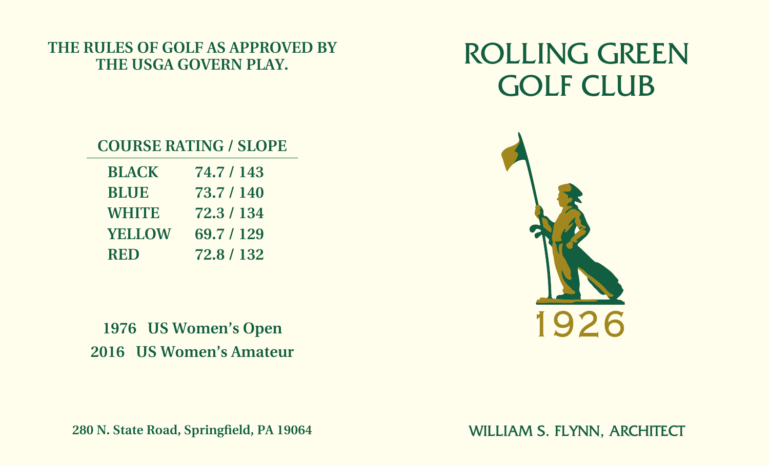## **THE RULES OF GOLF AS APPROVED BY THE USGA GOVERN PLAY.**

## ROLLING GREEN GOLF CLUB

## **COURSE RATING / SLOPE**

| <b>BLACK</b>  | 74.7 / 143 |
|---------------|------------|
| <b>BLUE</b>   | 73.7 / 140 |
| <b>WHITE</b>  | 72.3 / 134 |
| <b>YELLOW</b> | 69.7 / 129 |
| <b>RED</b>    | 72.8 / 132 |

**1976 US Women's Open 2016 US Women's Amateur**